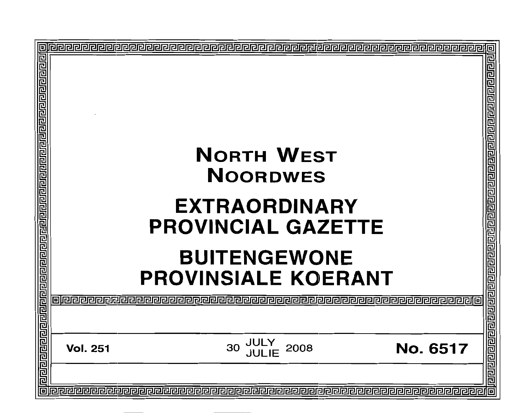|                                         | <b>NORTH WEST</b>                                                                                                                                                                                                                                                                        |
|-----------------------------------------|------------------------------------------------------------------------------------------------------------------------------------------------------------------------------------------------------------------------------------------------------------------------------------------|
|                                         | <b>NOORDWES</b>                                                                                                                                                                                                                                                                          |
|                                         | <b>EXTRAORDINARY</b>                                                                                                                                                                                                                                                                     |
| <u>गृहारागगणाराजनकारागणयागणाराजनागण</u> | <b>PROVINCIAL GAZETTE</b>                                                                                                                                                                                                                                                                |
|                                         |                                                                                                                                                                                                                                                                                          |
|                                         |                                                                                                                                                                                                                                                                                          |
|                                         |                                                                                                                                                                                                                                                                                          |
|                                         |                                                                                                                                                                                                                                                                                          |
|                                         | <b>BUITENGEWONE<br/> PROVINSIALE KOERANT<br/> CORANT DERANT<br/> CORANT DERANT<br/> CORANT DERANT<br/> CORANT DERANT<br/> CORANT DERANT<br/> CORANT DERANT<br/> CORANT DERANT<br/> CORANT DERANT<br/> CORANT DERANT<br/> CORANT DEPARTMENT<br/> CORANT DEPARTMENT<br/> CORANT DEPART</b> |
|                                         |                                                                                                                                                                                                                                                                                          |
|                                         |                                                                                                                                                                                                                                                                                          |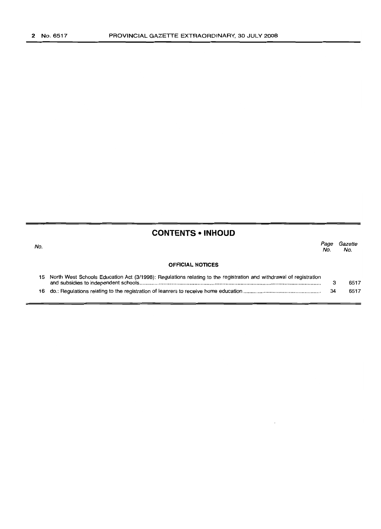# **CONTENTS • INHOUD**

| No. |                                                                                                                       | Page<br>No. | Gazette<br>No. |
|-----|-----------------------------------------------------------------------------------------------------------------------|-------------|----------------|
|     | <b>OFFICIAL NOTICES</b>                                                                                               |             |                |
|     | 15 North West Schools Education Act (3/1998): Regulations relating to the registration and withdrawal of registration |             | 6517           |
| 16. |                                                                                                                       | 34          | 6517           |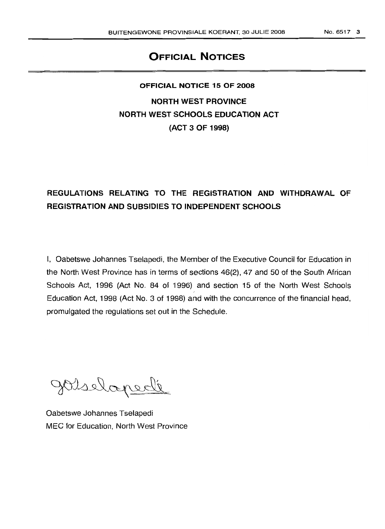# **OFFICIAL NOTICES**

# **OFFICIAL NOTICE 15 OF 2008**

**NORTH WEST PROVINCE NORTH WEST SCHOOLS EDUCATION ACT (ACT 3 OF 1998)**

# **REGULATIONS RELATING TO THE REGISTRATION AND WITHDRAWAL OF REGISTRATION AND SUBSIDIES TO INDEPENDENT SCHOOLS**

I, Oabetswe Johannes Tselapedi, the Member of the Executive Council for Education in the North West Province has in terms of sections 46(2), 47 and 50 of the South African Schools Act, 1996 (Act No. 84 of 1996) and section 15 of the North West Schools Education Act, 1998 (Act No.3 of 1998) and with the concurrence of the financial head, promulgated the regulations set out in the Schedule.

Joselapede

Oabetswe Johannes Tselapedi MEC for Education, North West Province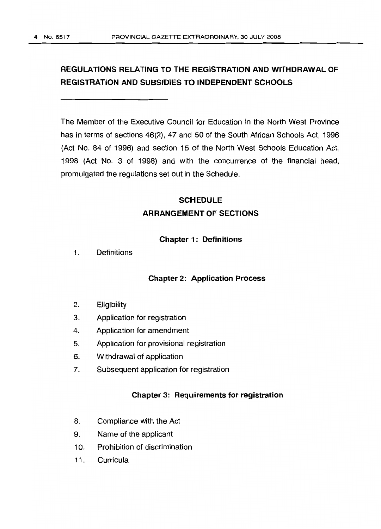# **REGULATIONS RELATING TO THE REGISTRATION AND WITHDRAWAL OF REGISTRATION AND SUBSIDIES TO INDEPENDENT SCHOOLS**

The Member of the Executive Council for Education in the North West Province has in terms of sections 46(2), 47 and 50 of the South African Schools Act, 1996 (Act No. 84 of 1996) and section 15 of the North West Schools Education Act, 1998 (Act No. 3 of 1998) and with the concurrence of the financial head, promulgated the regulations set out in the Schedule.

# **SCHEDULE ARRANGEMENT OF SECTIONS**

## **Chapter 1: Definitions**

1. Definitions

## **Chapter 2: Application Process**

- 2. Eligibility
- 3. Application for registration
- 4. Application for amendment
- 5. Application for provisional registration
- 6. Withdrawal of application
- 7. Subsequent application for registration

## **Chapter 3: Requirements for registration**

- 8. Compliance with the Act
- 9. Name of the applicant
- 10. Prohibition of discrimination
- 11. Curricula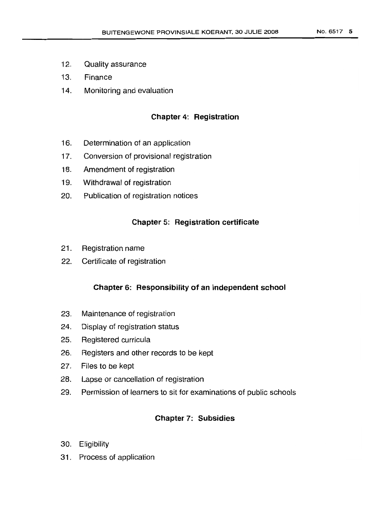- 12. Quality assurance
- 13. Finance
- 14. Monitoring and evaluation

## **Chapter 4: Registration**

- 16. Determination of an application
- 17. Conversion of provisional registration
- 18. Amendment of registration
- 19. Withdrawal of registration
- 20. Publication of registration notices

## **Chapter 5: Registration certificate**

- 21. Registration name
- 22. Certificate of registration

## **Chapter 6: Responsibility of an independent school**

- 23. Maintenance of registration
- 24. Display of registration status
- 25. Registered curricula
- 26. Registers and other records to be kept
- 27. Files to be kept
- 28. Lapse or cancellation of registration
- 29. Permission of learners to sit for examinations of public schools

# **Chapter 7: Subsidies**

- 30. Eligibility
- 31. Process of application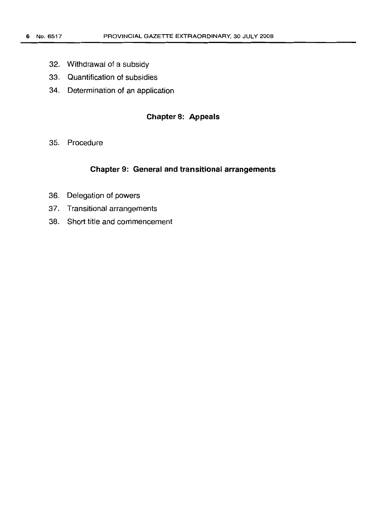- 32. Withdrawal of a subsidy
- 33. Quantification of subsidies
- 34. Determination of an application

# **Chapter 8: Appeals**

35. Procedure

### **Chapter 9: General and transitional arrangements**

- 36. Delegation of powers
- 37. Transitional arrangements
- 38. Short title and commencement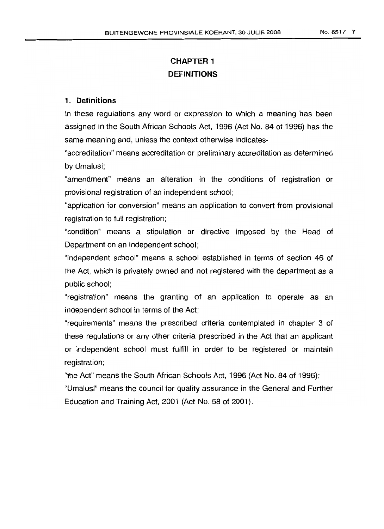# **CHAPTER 1 DEFINITIONS**

## 1. **Definitions**

In these regulations any word or expression to which a meaning has been assigned in the South African Schools Act, 1996 (Act No. 84 of 1996) has the same meaning and, unless the context otherwise indicates-

"accreditation" means accreditation or preliminary accreditation as determined by Umalusi;

"amendment" means an alteration in the conditions of registration or provisional registration of an independent school;

"application for conversion" means an application to convert from provisional registration to full registration;

"condition" means a stipulation or directive imposed by the Head of Department on an independent school;

"independent school" means a school established in terms of section 46 of the Act, which is privately owned and not registered with the department as a public school;

"registration" means the granting of an application to operate as an independent school in terms of the Act;

"requirements" means the prescribed criteria contemplated in chapter 3 of these regulations or any other criteria prescribed in the Act that an applicant or independent school must fulfill in order to be registered or maintain registration;

"the Act" means the South African Schools Act, 1996 (Act No. 84 of 1996); "Umalusi" means the council for quality assurance in the General and Further Education and Training Act, 2001 (Act No. 58 of 2001).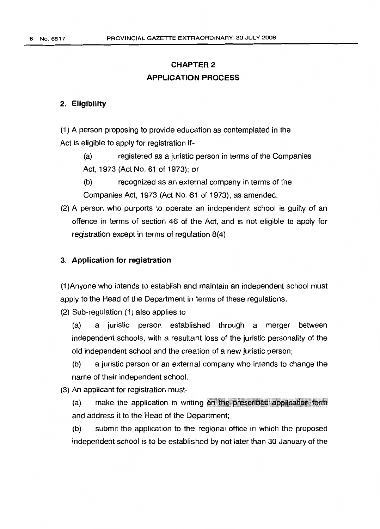# **CHAPTER 2 APPLICATION PROCESS**

## 2. **Eligibility**

(1) A person proposing to provide education as contemplated in the Act is eligible to apply for registration if-

(a) registered as a juristic person in terms of the Companies Act, 1973 (Act No. 61 of 1973); or

(b) recognized as an external company in terms of the Companies Act, 1973 (Act No. 61 of 1973), as amended.

(2) A person who purports to operate an independent school is guilty of an offence in terms of section 46 of the Act, and is not eligible to apply for registration except in terms of regulation 8(4).

## 3. **Application for registration**

(1 )Anyone who intends to establish and maintain an independent school must apply to the Head of the Department in terms of these regulations.

(2) Sub-regulation (1) also applies to

(a) a juristic person established through a merger between independent schools, with a resultant loss of the juristic personality of the old independent school and the creation of a new juristic person;

(b) a juristic person or an external company who intends to change the name of their independent school.

(3) An applicant for registration must-

(a) make the application in writing on the prescribed application form and address it to the Head of the Department;

(b) submit the application to the regional office in which the proposed independent school is to be established by not later than 30 January of the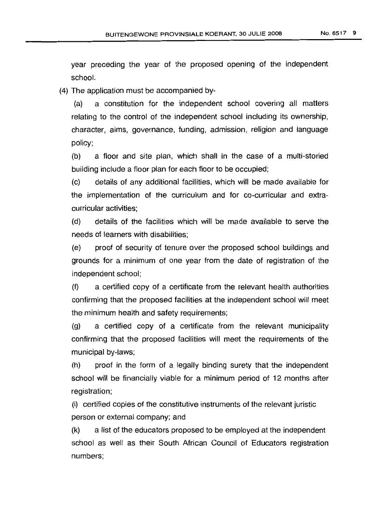year preceding the year of the proposed opening of the independent school.

(4) The application must be accompanied by-

(a) a constitution for the independent school covering all matters relating to the control of the independent school including its ownership, character, aims, governance, funding, admission, religion and language policy;

(b) a floor and site plan, which shall in the case of a multi-storied building include a floor plan for each floor to be occupied;

(c) details of any additional facilities, which will be made available for the implementation of the curriculum and for co-curricular and extracurricular activities;

(d) details of the facilities which will be made available to serve the needs of learners with disabilities;

(e) proof of security of tenure over the proposed school buildings and grounds for a minimum of one year from the date of registration of the independent school;

(f) a certified copy of a certificate from the relevant health authorities confirming that the proposed facilities at the independent school will meet the minimum health and safety requirements;

(g) a certified copy of a certificate from the relevant municipality confirming that the proposed facilities will meet the requirements of the municipal by-laws;

(h) proof in the form of a legally binding surety that the independent school will be financially viable for a minimum period of 12 months after registration;

(i) certified copies of the constitutive instruments of the relevant juristic person or external company; and

(k) a list of the educators proposed to be employed at the independent school as well as their South African Council of Educators registration numbers;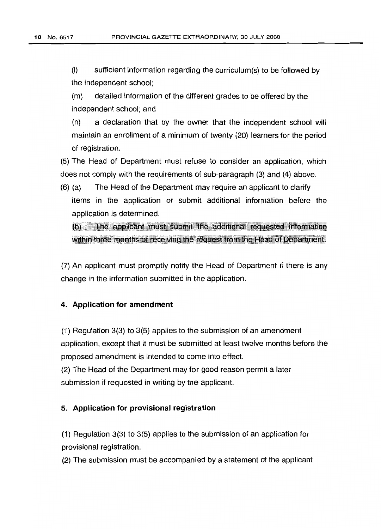(I) sufficient information regarding the curriculum(s) to be followed by the independent school;

(m) detailed information of the different grades to be offered by the independent school; and

(n) a declaration that by the owner that the independent school will maintain an enrollment of a minimum of twenty (20) learners for the period of registration.

(5) The Head of Department must refuse to consider an application, which does not comply with the requirements of sub-paragraph (3) and (4) above.

(6) (a) The Head of the Department may require an applicant to clarify items in the application or submit additional information before the application is determined.

(b) The applicant must submit the additional requested information within three months of receiving the request from the Head of Department.

(7) An applicant must promptly notify the Head of Department if there is any change in the information submitted in the application.

## **4. Application for amendment**

(1) Regulation 3(3) to 3(5) applies to the submission of an amendment application, except that it must be submitted at least twelve months before the proposed amendment is intended to come into effect.

(2) The Head of the Department may for good reason permit a later submission if requested in writing by the applicant.

#### 5. **Application for provisional registration**

(1) Regulation 3(3) to 3(5) applies to the submission of an application for provisional registration.

(2) The submission must be accompanied by a statement of the applicant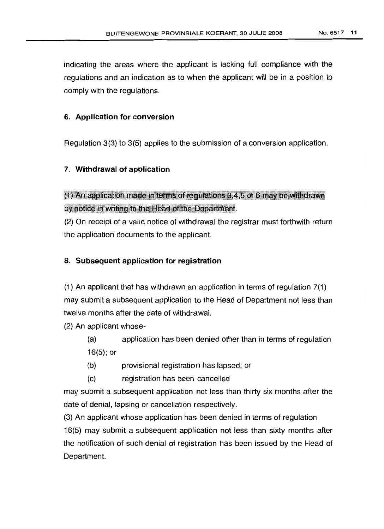indicating the areas where the applicant is lacking full compliance with the regulations and an indication as to when the applicant will be in a position to comply with the regulations.

#### **6. Application for conversion**

Regulation 3(3) to 3(5) applies to the submission of a conversion application.

#### **7. Withdrawal of application**

 $(1)$  An application made in terms of requiations 3,4,5 or 6 may be withdrawn by notice in writing to the Head of the Department.

(2) On receipt of a valid notice of withdrawal the registrar must forthwith return the application documents to the applicant.

#### 8. **SUbsequent application for registration**

(1) An applicant that has withdrawn an application in terms of requlation 7(1) may submit a subsequent application to the Head of Department not less than twelve months after the date of withdrawal.

(2) An applicant whose-

- (a) application has been denied other than in terms of regulation 16(5); or
- (b) provisional registration has lapsed; or
- (c) registration has been cancelled

may submit a subsequent application not less than thirty six months after the date of denial, lapsing or cancellation respectively.

(3) An applicant whose application has been denied in terms of regulation 16(5) may submit a subsequent application not less than sixty months after the notification of such denial of registration has been issued by the Head of Department.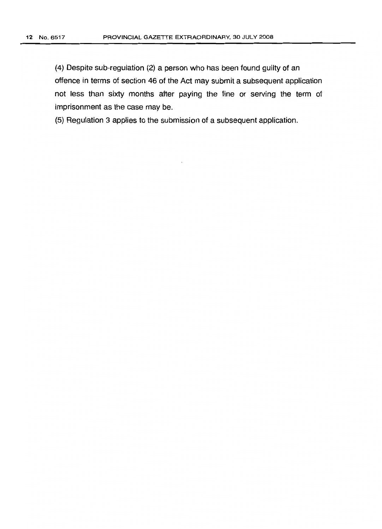(4) Despite sub-regulation (2) a person who has been found guilty of an offence in terms of section 46 of the Act may submit a subsequent application not less than sixty months after paying the fine or serving the term of imprisonment as the case may be.

(5) Regulation 3 applies to the submission of a subsequent application.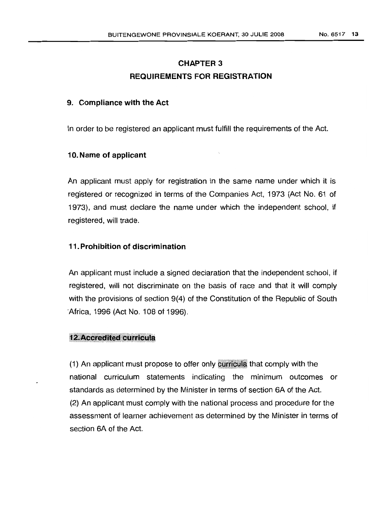# CHAPTER 3 REQUIREMENTS FOR REGISTRATION

### 9. Compliance with the Act

In order to be registered an applicant must fulfill the requirements of the Act.

### 10. Name of applicant

An applicant must apply for registration in the same name under which it is registered or recognized in terms of the Companies Act, 1973 (Act No. 61 of 1973), and must declare the name under which the independent school, if registered, will trade.

## 11.Prohibition of discrimination

An applicant must include a signed declaration that the independent school, if registered, will not discriminate on the basis of race and that it will comply with the provisions of section 9(4) of the Constitution of the Republic of South Africa, 1996 (Act No. 108 of 1996).

#### **12. Accredited curricula**

 $(1)$  An applicant must propose to offer only curricula that comply with the national curriculum statements indicating the minimum outcomes or standards as determined by the Minister in terms of section 6A of the Act. (2) An applicant must comply with the national process and procedure for the assessment of learner achievement as determined by the Minister in terms of section 6A of the Act.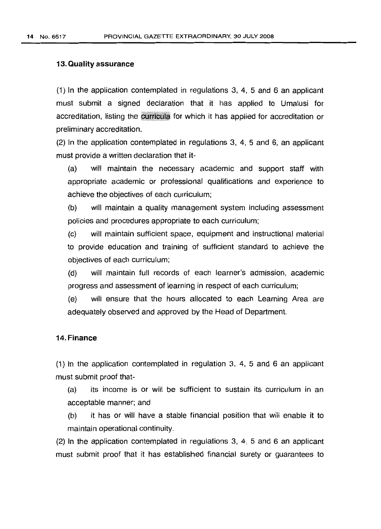### **13.Qualityassurance**

(1) In the application contemplated in regulations 3, 4, 5 and 6 an applicant must submit a signed declaration that it has applied to Umalusi for accreditation, listing the curricula for which it has applied for accreditation or preliminary accreditation.

(2) In the application contemplated in regulations 3, 4, 5 and 6, an applicant must provide a written declaration that it-

(a) will maintain the necessary academic and support staff with appropriate academic or professional qualifications and experience to achieve the objectives of each curriculum;

(b) will maintain a quality management system including assessment policies and procedures appropriate to each curriculum;

(c) will maintain sufficient space, equipment and instructional material to provide education and training of sufficient standard to achieve the objectives of each curriculum;

(d) will maintain full records of each learner's admission, academic progress and assessment of learning in respect of each curriculum;

(e) will ensure that the hours allocated to each Learning Area are adequately observed and approved by the Head of Department.

## 14. Finance

(1) In the application contemplated in regulation 3, 4, 5 and 6 an applicant must submit proof that-

(a) its income is or will be sufficient to sustain its curriculum in an acceptable manner; and

(b) it has or will have a stable financial position that will enable it to maintain operational continuity.

(2) In the application contemplated in regulations 3, 4, 5 and 6 an applicant must submit proof that it has established financial surety or guarantees to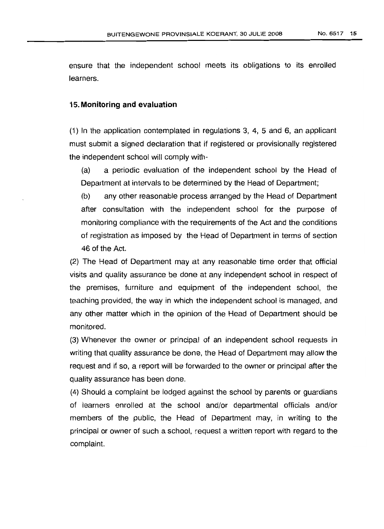ensure that the independent school meets its obligations to its enrolled learners.

#### 15. **Monitoring** and **evaluation**

(1) In the application contemplated in regulations 3, 4, 5 and 6, an applicant must submit a signed declaration that if registered or provisionally registered the independent school will comply with-

(a) a periodic evaluation of the independent school by the Head of Department at intervals to be determined by the Head of Department;

(b) any other reasonable process arranged by the Head of Department after consultation with the independent school for the purpose of monitoring compliance with the requirements of the Act and the conditions of registration as imposed by the Head of Department in terms of section 46 of the Act.

(2) The Head of Department may at any reasonable time order that official visits and quality assurance be done at any independent school in respect of the premises, furniture and equipment of the independent school, the teaching provided, the way in which the independent school is managed, and any other matter which in the opinion of the Head of Department should be monitored.

(3) Whenever the owner or principal of an independent school requests in writing that quality assurance be done, the Head of Department may allow the request and if so, a report will be forwarded to the owner or principal after the quality assurance has been done.

(4) Should a complaint be lodged against the school by parents or guardians of learners enrolled at the school and/or departmental officials and/or members of the public, the Head of Department may, in writing to the principal or owner of such a school, request a written report with regard to the complaint.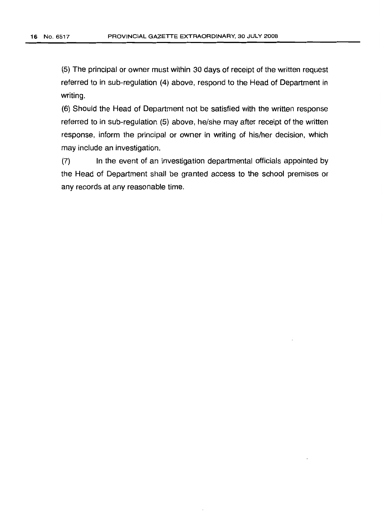(5) The principal or owner must within 30 days of receipt of the written request referred to in sub-regulation (4) above, respond to the Head of Department in writing.

(6) Should the Head of Department not be satisfied with the written response referred to in sub-regulation (5) above, he/she may after receipt of the written response, inform the principal or owner in writing of his/her decision, which may include an investigation.

(7) In the event of an investigation departmental officials appointed by the Head of Department shall be granted access to the school premises or any records at any reasonable time.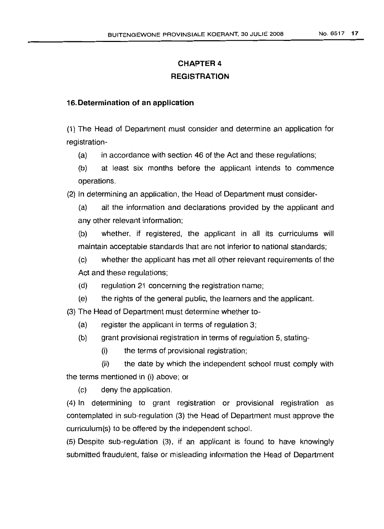# **CHAPTER 4 REGISTRATION**

## 16. **Determination of an application**

(1) The Head of Department must consider and determine an application for registration-

(a) in accordance with section 46 of the Act and these regulations;

(b) at least six months before the applicant intends to commence operations.

(2) In determining an application, the Head of Department must consider-

(a) all the information and declarations provided by the applicant and any other relevant information;

(b) whether, if registered, the applicant in all its curriculums will maintain acceptable standards that are not inferior to national standards;

(c) whether the applicant has met all other relevant requirements of the Act and these regulations;

- (d) regulation 21 concerning the registration name;
- (e) the rights of the general public, the learners and the applicant.

(3) The Head of Department must determine whether to-

- (a) register the applicant in terms of regulation 3;
- (b) grant provisional registration in terms of regulation 5, stating-
	- (i) the terms of provisional registration;

(ii) the date by which the independent school must comply with the terms mentioned in (i) above; or

(c) deny the application.

(4) In determining to grant registration or provisional registration as contemplated in sub-regulation (3) the Head of Department must approve the curriculum(s) to be offered by the independent school.

(5) Despite sub-regulation (3), if an applicant is found to have knowingly submitted fraudulent, false or misleading information the Head of Department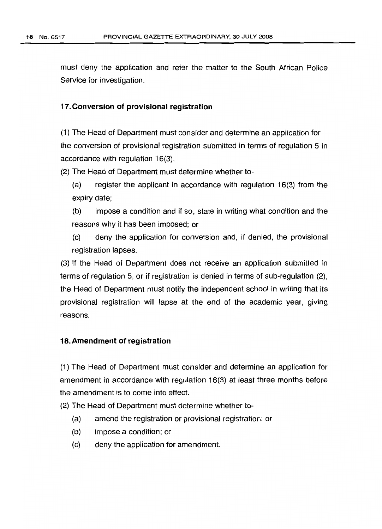must deny the application and refer the matter to the South African Police Service for investigation.

#### 17.Conversion of provisional registration

(1) The Head of Department must consider and determine an application for the conversion of provisional registration submitted in terms of regulation 5 in accordance with regulation 16(3).

(2) The Head of Department must determine whether to-

(a) register the applicant in accordance with regulation 16(3) from the expiry date;

(b) impose a condition and if so, state in writing what condition and the reasons why it has been imposed; or

(c) deny the application for conversion and, if denied, the provisional registration lapses.

(3) If the Head of Department does not receive an application submitted in terms of regulation 5, or if registration is denied in terms of sub-regulation (2), the Head of Department must notify the independent school in writing that its provisional registration will lapse at the end of the academic year, giving reasons.

#### 18.Amendment of registration

(1) The Head of Department must consider and determine an application for amendment in accordance with regulation 16(3) at least three months before the amendment is to come into effect.

(2) The Head of Department must determine whether to-

- (a) amend the registration or provisional registration; or
- (b) impose a condition; or
- (c) deny the application for amendment.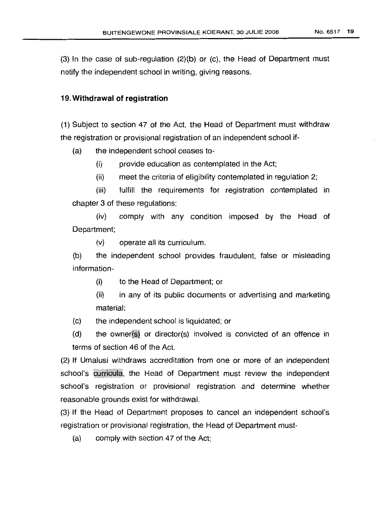(3) In the case of sub-regulation (2)(b) or (c), the Head of Department must notify the independent school in writing, giving reasons.

#### 19. **Withdrawal of registration**

(1) Subject to section 47 of the Act, the Head of Department must withdraw the registration or provisional registration of an independent school if-

(a) the independent school ceases to-

(i) provide education as contemplated in the Act;

(ii) meet the criteria of eligibility contemplated in regulation 2;

(iii) fulfill the requirements for registration contemplated in chapter 3 of these regulations;

(iv) comply with any condition imposed by the Head of Department;

(v) operate all its curriculum.

(b) the independent school provides fraudulent, false or misleading information-

(i) to the Head of Department; or

- (ii) in any of its public documents or advertising and marketing material;
- (c) the independent school is liquidated; or
- $(d)$  the owner $(s)$  or director $(s)$  involved is convicted of an offence in terms of section 46 of the Act.

(2) If Umalusi withdraws accreditation from one or more of an independent school's curricula, the Head of Department must review the independent school's registration or provisional registration and determine whether reasonable grounds exist for withdrawal.

(3) If the Head of Department proposes to cancel an independent school's registration or provisional registration, the Head of Department must-

(a) comply with section 47 of the Act;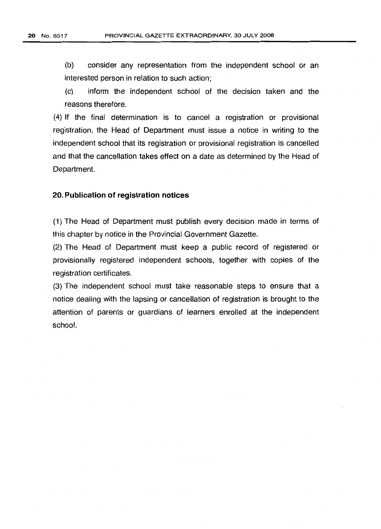(b) consider any representation from the independent school or an interested person in relation to such action;

(c) inform the independent school of the decision taken and the reasons therefore.

(4) If the final determination is to cancel a registration or provisional registration, the Head of Department must issue a notice in writing to the independent school that its registration or provisional registration is cancelled and that the cancellation takes effect on a date as determined by the Head of Department.

## 20. Publication of registration notices

(1) The Head of Department must publish every decision made in terms of this chapter by notice in the Provincial Government Gazette.

(2) The Head of Department must keep a public record of registered or provisionally registered independent schools, together with copies of the registration certificates.

(3) The independent school must take reasonable steps to ensure that a notice dealing with the lapsing or cancellation of registration is brought to the attention of parents or guardians of learners enrolled at the independent school.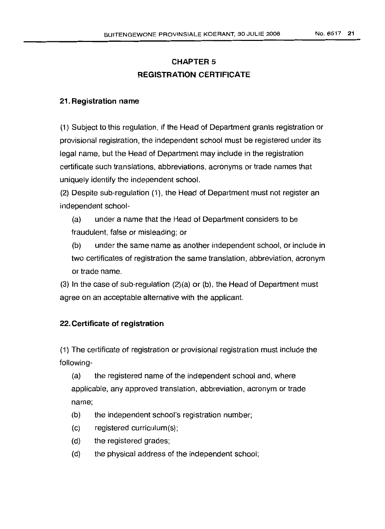# CHAPTER 5 REGISTRATION CERTIFICATE

# 21. Registration name

(1) Subject to this regulation, if the Head of Department grants registration or provisional registration, the independent school must be registered under its legal name, but the Head of Department may include in the registration certificate such translations, abbreviations, acronyms or trade names that uniquely identify the independent school.

(2) Despite sub-regulation (1), the Head of Department must not register an independent school-

(a) under a name that the Head of Department considers to be fraudulent, false or misleading; or

(b) under the same name as another independent school, or include in two certificates of registration the same translation, abbreviation, acronym or trade name.

(3) In the case of sub-regulation (2)(a) or (b), the Head of Department must agree on an acceptable alternative with the applicant.

# 22. Certificate of registration

(1) The certificate of registration or provisional registration must include the following-

(a) the registered name of the independent school and, where applicable, any approved translation, abbreviation, acronym or trade name;

- (b) the independent school's registration number;
- (c) registered curriculum(s);
- (d) the registered grades;
- (d) the physical address of the independent school;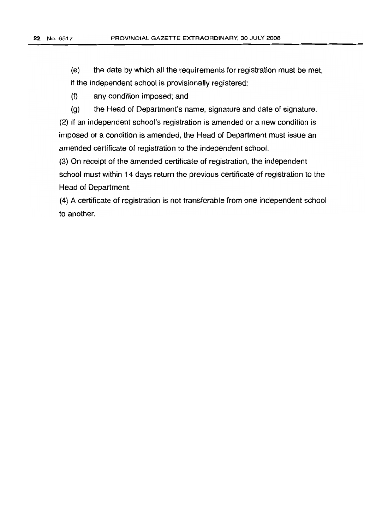(e) the date by which all the requirements for registration must be met, if the independent school is provisionally registered;

(f) any condition imposed; and

(g) the Head of Department's name, signature and date of signature.

(2) If an independent school's registration is amended or a new condition is imposed or a condition is amended, the Head of Department must issue an amended certificate of registration to the independent school.

(3) On receipt of the amended certificate of registration, the independent school must within 14 days return the previous certificate of registration to the Head of Department.

(4) A certificate of registration is not transferable from one independent school to another.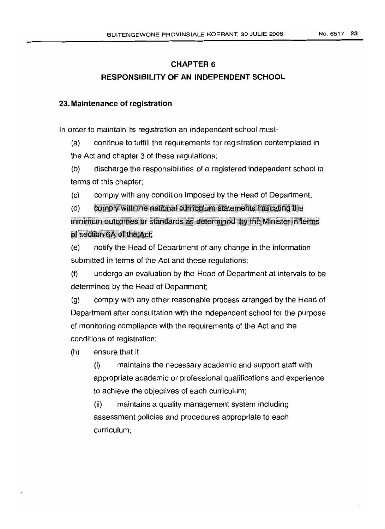# **CHAPTER 6 RESPONSIBILITY OF AN INDEPENDENT SCHOOL**

## **23. Maintenance of registration**

In order to maintain its registration an independent school must-

(a) continue to fulfill the requirements for registration contemplated in the Act and chapter 3 of these regulations;

(b) discharge the responsibilities of a registered independent school in terms of this chapter;

(c) comply with any condition imposed by the Head of Department;

(d) comply with the national curriculum statements indicating the minimum outcomes or standards as determined by the Minister in terms of section 6A of the Act;

(e) notify the Head of Department of any change in the information submitted in terms of the Act and these regulations;

(f) undergo an evaluation by the Head of Department at intervals to be determined by the Head of Department;

(g) comply with any other reasonable process arranged by the Head of Department after consultation with the independent school for the purpose of monitoring compliance with the requirements of the Act and the conditions of registration;

(h) ensure that it

(i) maintains the necessary academic and support staff with appropriate academic or professional qualifications and experience to achieve the objectives of each curriculum;

(ii) maintains a quality management system including assessment policies and procedures appropriate to each curriculum;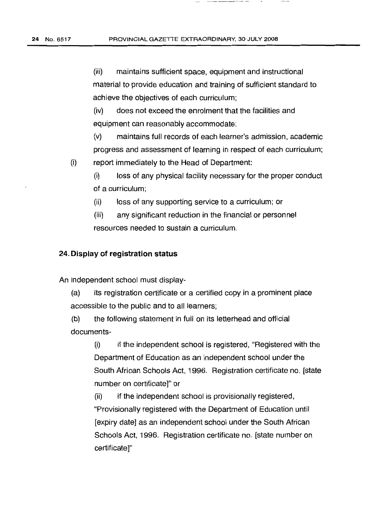(iii) maintains sufficient space, equipment and instructional material to provide education and training of sufficient standard to achieve the objectives of each curriculum;

(iv) does not exceed the enrolment that the facilities and equipment can reasonably accommodate;

(v) maintains full records of each learner's admission, academic progress and assessment of learning in respect of each curriculum;

(i) report immediately to the Head of Department:

> (i) loss of any physical facility necessary for the proper conduct of a curriculum;

(ii) loss of any supporting service to a curriculum; or

(iii) any significant reduction in the financial or personnel resources needed to sustain a curriculum.

#### 24. **Display of registration status**

An independent school must display-

(a) its registration certificate or a certified copy in a prominent place accessible to the public and to all learners;

(b) the following statement in full on its letterhead and official documents-

> (i) if the independent school is registered, "Registered with the Department of Education as an independent school under the South African Schools Act, 1996. Registration certificate no. [state number on certificate]" or

(ii) if the independent school is provisionally registered, "Provisionally registered with the Department of Education until [expiry date] as an independent school under the South African Schools Act, 1996. Registration certificate no. [state number on certificate]"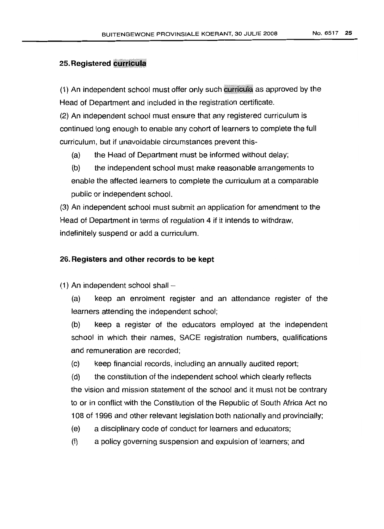## **25. Registered curricula**

(1) An independent school must offer only such curricula as approved by the Head of Department and included in the registration certificate.

(2) An independent school must ensure that any registered curriculum is continued long enough to enable any cohort of learners to complete the full curriculum, but if unavoidable circumstances prevent this-

(a) the Head of Department must be informed without delay;

(b) the independent school must make reasonable arrangements to enable the affected learners to complete the curriculum at a comparable public or independent school.

(3) An independent school must submit an application for amendment to the Head of Department in terms of regulation 4 if it intends to withdraw, indefinitely suspend or add a curriculum.

## 26. **Registers and other records to be kept**

(1) An independent school shall  $-$ 

(a) keep an enrolment register and an attendance register of the learners attending the independent school;

(b) keep a register of the educators employed at the independent school in which their names, SACE registration numbers, qualifications and remuneration are recorded;

(c) keep financial records, including an annually audited report;

(d) the constitution of the independent school which clearly reflects the vision and mission statement of the school and it must not be contrary to or in conflict with the Constitution of the Republic of South Africa Act no 108 of 1996 and other relevant legislation both nationally and provincially;

- (e) a disciplinary code of conduct for learners and educators;
- (f) a policy governing suspension and expulsion of learners; and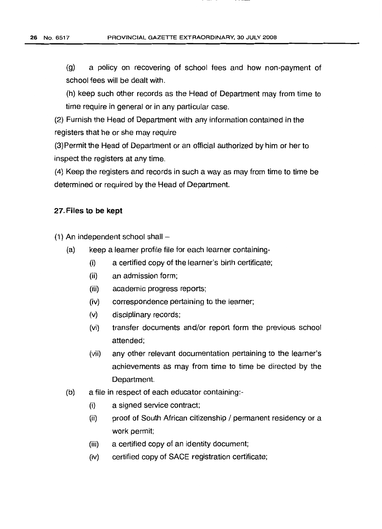(g) a policy on recovering of school fees and how non-payment of school fees will be dealt with.

(h) keep such other records as the Head of Department may from time to time require in general or in any particular case.

(2) Furnish the Head of Department with any information contained in the registers that he or she may require

(3)Permit the Head of Department or an official authorized by him or her to inspect the registers at any time.

(4) Keep the registers and records in such a way as may from time to time be determined or required by the Head of Department.

## 27. **Files to be kept**

 $(1)$  An independent school shall  $-$ 

- (a) keep a learner profile file for each learner containing-
	- (i) a certified copy of the learner's birth certificate;
	- (ii) an admission form;
	- (iii) academic progress reports;
	- (iv) correspondence pertaining to the learner;
	- (v) disciplinary records;
	- (vi) transfer documents and/or report form the previous school attended;
	- (vii) any other relevant documentation pertaining to the learner's achievements as may from time to time be directed by the Department.
- (b) a file in respect of each educator containing:-
	- (i) a signed service contract;
	- (ii) proof of South African citizenship / permanent residency or a work permit;
	- (iii) a certified copy of an identity document;
	- (iv) certified copy of SAGE registration certificate;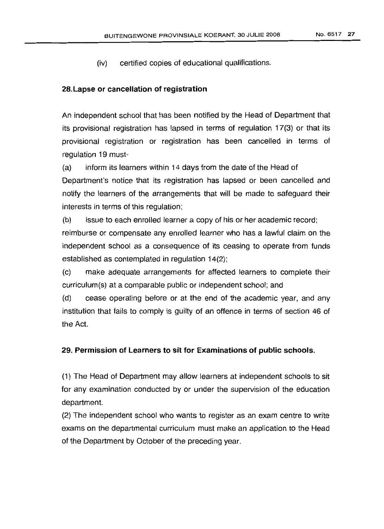(iv) certified copies of educational qualifications.

## 28.lapse or cancellation of registration

An independent school that has been notified by the Head of Department that its provisional registration has lapsed in terms of regulation 17(3) or that its provisional registration or registration has been cancelled in terms of regulation 19 must-

(a) inform its learners within 14 days from the date of the Head of Department's notice that its registration has lapsed or been cancelled and notify the learners of the arrangements that will be made to safeguard their interests in terms of this regulation;

(b) issue to each enrolled learner a copy of his or her academic record; reimburse or compensate any enrolled learner who has a lawful claim on the independent school as a consequence of its ceasing to operate from funds

established as contemplated in regulation 14(2);

(c) make adequate arrangements for affected learners to complete their curriculum(s) at a comparable public or independent school; and

(d) cease operating before or at the end of the academic year, and any institution that fails to comply is guilty of an offence in terms of section 46 of the Act.

## 29. Permission of learners to sit for Examinations of public schools.

(1) The Head of Department may allow learners at independent schools to sit for any examination conducted by or under the supervision of the education department.

(2) The independent school who wants to register as an exam centre to write exams on the departmental curriculum must make an application to the Head of the Department by October of the preceding year.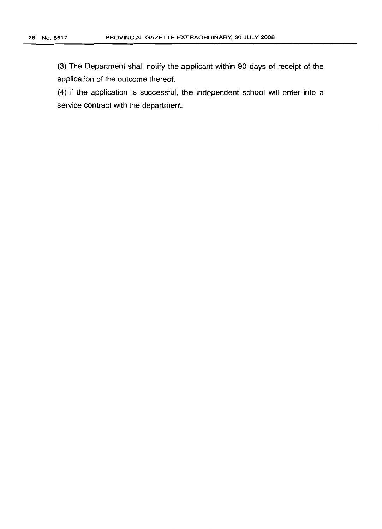(3) The Department shall notify the applicant within 90 days of receipt of the application of the outcome thereof.

(4) If the application is successful, the independent school will enter into a service contract with the department.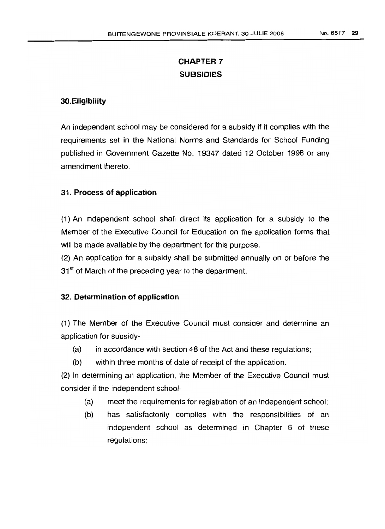# **CHAPTER 7 SUBSIDIES**

# **30.Eligibility**

An independent school may be considered for a subsidy if it complies with the requirements set in the National Norms and Standards for School Funding published in Government Gazette No. 19347 dated 12 October 1998 or any amendment thereto.

# 31. **Process of application**

(1) An independent school shall direct its application for a subsidy to the Member of the Executive Council for Education on the application forms that will be made available by the department for this purpose.

(2) An application for a subsidy shall be submitted annually on or before the 31<sup>st</sup> of March of the preceding year to the department.

## 32. **Determination of application**

(1) The Member of the Executive Council must consider and determine an application for subsidy-

- (a) in accordance with section 48 of the Act and these regulations;
- (b) within three months of date of receipt of the application.

(2) In determining an application, the Member of the Executive Council must consider if the independent school-

- (a) meet the requirements for registration of an independent school;
- (b) has satisfactorily complies with the responsibilities of an independent school as determined in Chapter 6 of these regulations;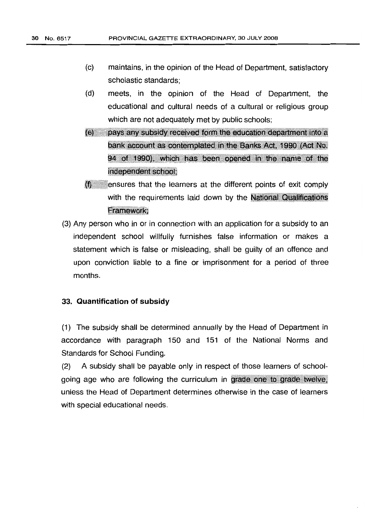- (c) maintains, in the opinion of the Head of Department, satisfactory scholastic standards;
- (d) meets, in the opinion of the Head of Department, the educational and cultural needs of a cultural or reliqious group which are not adequately met by public schools;
- (e) pays any subsidy received form the education department into a bank account as contemplated in the Banks Act, 1990 (Act No. 94 of 1990), which has been opened in the name of the independent school:
- $<sub>(f)</sub>$  ensures that the learners at the different points of exit comply</sub> with the requirements laid down by the National Qualifications Framework:
- (3) Any person who in or in connection with an application for a subsidy to an independent school willfully furnishes false information or makes a statement which is false or misleading, shall be guilty of an offence and upon conviction liable to a fine or imprisonment for a period of three months.

## 33. **Quantification of subsidy**

(1) The subsidy shall be determined annually by the Head of Department in accordance with paragraph 150 and 151 of the National Norms and Standards for School Funding.

(2) A subsidy shall be payable only in respect of those learners of schoolgoing age who are following the curriculum in grade one to grade twelve. unless the Head of Department determines otherwise in the case of learners with special educational needs.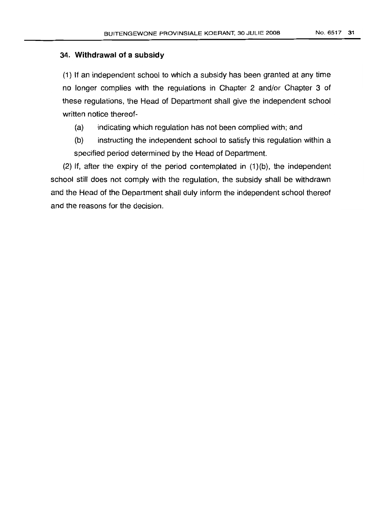## 34. **Withdrawal of a subsidy**

(1) If an independent school to which a subsidy has been granted at any time no longer complies with the regulations in Chapter 2 and/or Chapter 3 of these regulations, the Head of Department shall give the independent school written notice thereof-

(a) indicating which regulation has not been complied with; and

(b) instructing the independent school to satisfy this regulation within a specified period determined by the Head of Department.

(2) If, after the expiry of the period contemplated in  $(1)(b)$ , the independent school still does not comply with the regulation, the subsidy shall be withdrawn and the Head of the Department shall duly inform the independent school thereof and the reasons for the decision.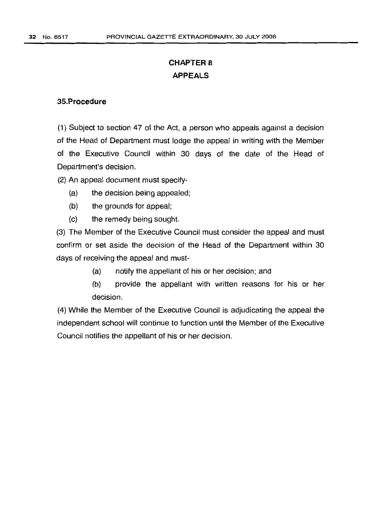# **CHAPTER 8 APPEALS**

## **35.Procedure**

(1) Subject to section 47 of the Act, a person who appeals against a decision of the Head of Department must lodge the appeal in writing with the Member of the Executive Council within 30 days of the date of the Head of Department's decision.

(2) An appeal document must specify-

- (a) the decision being appealed;
- (b) the grounds for appeal;
- (c) the remedy being sought.

(3) The Member of the Executive Council must consider the appeal and must confirm or set aside the decision of the Head of the Department within 30 days of receiving the appeal and must-

- (a) notify the appellant of his or her decision; and
- (b) provide the appellant with written reasons for his or her decision.

(4) While the Member of the Executive Council is adjudicating the appeal the independent school will continue to function until the Member of the Executive Council notifies the appellant of his or her decision.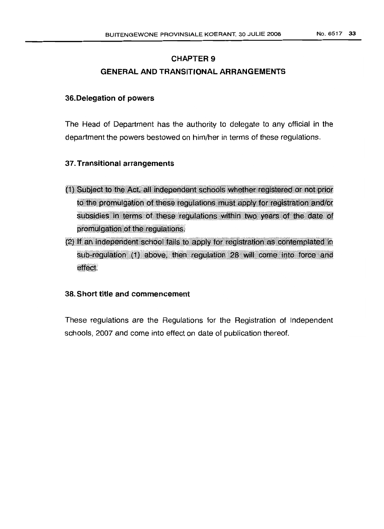# CHAPTER 9 GENERAL AND TRANSITIONAL ARRANGEMENTS

## 36.Delegation of powers

The Head of Department has the authority to delegate to any official in the department the powers bestowed on him/her in terms of these regulations.

## 37. Transitional arrangements

- (1) Subject to the Act, all independent schools whether registered or not prior to the promulgation of these regulations must apply for registration and/or subsidies in terms of these regulations within two years of the date of promulgation of the regulations.
- (2) If an independent school fails to apply for registration as contemplated in<br>sub-regulation (1) above, then regulation 28 will come into force and effect.

## 38. Short title and commencement

These regulations are the Regulations for the Registration of Independent schools, 2007 and come into effect on date of publication thereof.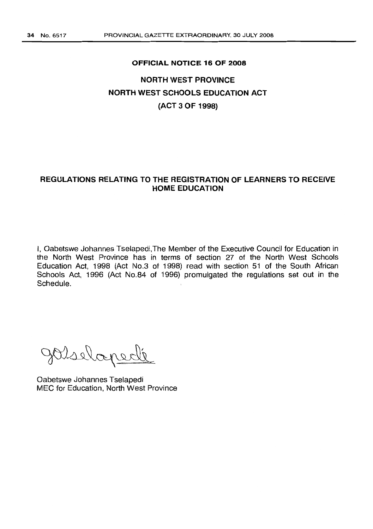#### **OFFICIAL NOTICE 16 OF 2008**

# **NORTH WEST PROVINCE NORTH WEST SCHOOLS EDUCATION ACT (ACT 3 OF 1998)**

## **REGULATIONS RELATING TO THE REGISTRATION OF LEARNERS TO RECEIVE HOME EDUCATION**

I, Oabetswe Johannes Tselapedi,The Member of the Executive Council for Education in the North West Province has in terms of section 27 of the North West Schools Education Act, 1998 (Act NO.3 of 1998) read with section 51 of the South African Schools Act, 1996 (Act NO.84 of 1996) promulgated the regulations set out in the Schedule.

Visslapelle

Oabetswe Johannes Tselapedi MEC for Education, North West Province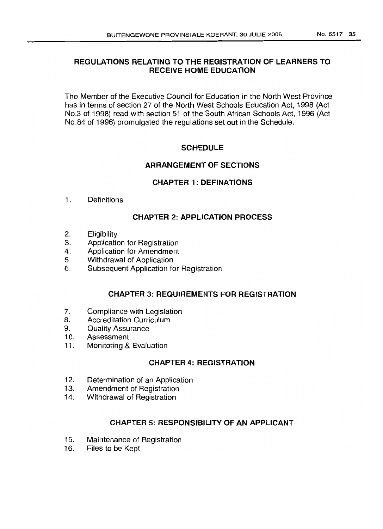# REGULATIONS RELATING TO THE REGISTRATION OF LEARNERS TO RECEIVE HOME EDUCATION

The Member of the Executive Council for Education in the North West Province has in terms of section 27 of the North West Schools Education Act, 1998 (Act No.3 of 1998) read with section 51 of the South African Schools Act, 1996 (Act No.84 of 1996) promulgated the regulations set out in the Schedule.

# **SCHEDULE**

# ARRANGEMENT OF SECTIONS

# CHAPTER 1: DEFINATIONS

1. Definitions

# CHAPTER 2: APPLICATION PROCESS

- 2. Eligibility
- 3. Application for Registration
- 4. Application for Amendment
- 5. Withdrawal of Application
- 6. Subsequent Application for Registration

# CHAPTER 3: REQUIREMENTS FOR REGISTRATION

- 7. Compliance with Legislation
- 8. Accreditation Curriculum
- 9. Quality Assurance
- 10. Assessment
- 11. Monitoring & Evaluation

# CHAPTER 4: REGISTRATION

- 12. Determination of an Application
- 13. Amendment of Registration
- 14. Withdrawal of Registration

# CHAPTER 5: RESPONSIBILITY OF AN APPLICANT

- 15. Maintenance of Registration
- 16. Files to be Kept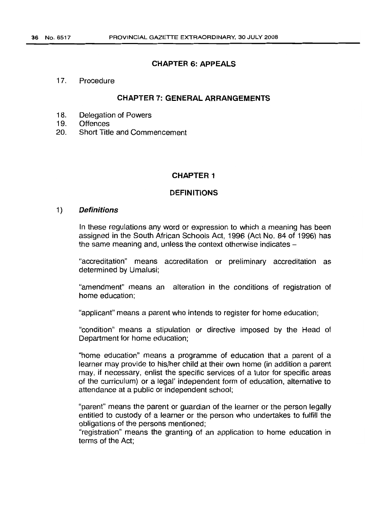## **CHAPTER 6: APPEALS**

17. Procedure

## CHAPTER 7: GENERAL ARRANGEMENTS

- 18. Delegation of Powers
- 19. Offences
- 20. Short Title and Commencement

## **CHAPTER 1**

#### **DEFINITIONS**

#### 1) **Definitions**

In these regulations any word or expression to which a meaning has been assigned in the South African Schools Act, 1996 (Act No. 84 of 1996) has the same meaning and, unless the context otherwise indicates  $-$ 

"accreditation" means accreditation or preliminary accreditation as determined by Umalusi;

"amendment" means an alteration in the conditions of registration of home education;

"applicant" means a parent who intends to register for home education;

"condition" means a stipulation or directive imposed by the Head of Department for home education;

"home education" means a programme of education that a parent of a learner may provide to his/her child at their own home (in addition a parent may, if necessary, enlist the specific services of a tutor for specific areas of the curriculum) or a legal' independent form of education, alternative to attendance at a public or independent school;

"parent" means the parent or guardian of the learner or the person legally entitled to custody of a learner or the person who undertakes to fulfill the obligations of the persons mentioned;

"registration" means the granting of an application to home education in terms of the Act;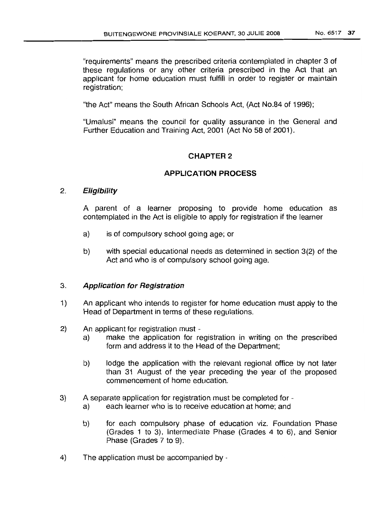"requirements" means the prescribed criteria contemplated in chapter 3 of these regulations or any other criteria prescribed in the Act that an applicant for home education must fulfill in order to register or maintain registration;

"the Act" means the South African Schools Act, (Act No.84 of 1996);

"Umalusi" means the council for quality assurance in the General and Further Education and Training Act, 2001 (Act No 58 of 2001).

### CHAPTER 2

### APPLICATION PROCESS

### 2. Eligibility

A parent of a learner proposing to provide home education as contemplated in the Act is eligible to apply for registration if the learner

- a) is of compulsory school going age; or
- b) with special educational needs as determined in section 3(2) of the Act and who is of compulsory school going age.

#### 3. Application for Registration

- 1) An applicant who intends to register for home education must apply to the Head of Department in terms of these regulations.
- 2) An applicant for registration must
	- a) make the application for registration in writing on the prescribed form and address it to the Head of the Department;
	- b) lodge the application with the relevant regional office by not later than 31 August of the year preceding the year of the proposed commencement of home education.
- 3) A separate application for registration must be completed for
	- a) each learner who is to receive education at home; and
	- b) for each compulsory phase of education viz. Foundation Phase (Grades 1 to 3), Intermediate Phase (Grades 4 to 6), and Senior Phase (Grades 7 to 9).
- 4) The application must be accompanied by -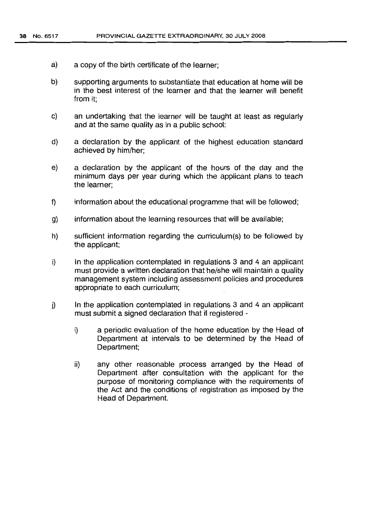- a) a copy of the birth certificate of the learner;
- b) supporting arguments to substantiate that education at home will be in the best interest of the learner and that the learner will benefit from it;
- c) an undertaking that the learner will be taught at least as regularly and at the same quality as in a public school;
- d) a declaration by the applicant of the highest education standard achieved by him/her;
- e) a declaration by the applicant of the hours of the day and the minimum days per year during which the applicant plans to teach the learner;
- f) information about the educational programme that will be followed;
- g) information about the learning resources that will be available;
- h) sufficient information regarding the curriculum(s) to be followed by the applicant;
- i) In the application contemplated in regulations 3 and 4 an applicant must provide a written declaration that he/she will maintain a quality management system including assessment policies and procedures appropriate to each curriculum;
- j) In the application contemplated in regulations 3 and 4 an applicant must submit a signed declaration that if registered
	- i) a periodic evaluation of the home education by the Head of Department at intervals to be determined by the Head of Department;
	- ii) any other reasonable process arranged by the Head of Department after consultation with the applicant for the purpose of monitoring compliance with the requirements of the Act and the conditions of registration as imposed by the Head of Department.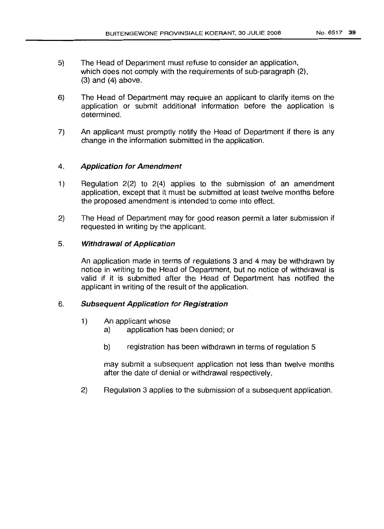- 5) The Head of Department must refuse to consider an application, which does not comply with the requirements of sub-paragraph (2),  $(3)$  and  $(4)$  above.
- 6) The Head of Department may require an applicant to clarify items on the application or submit additional information before the application is determined.
- 7) An applicant must promptly notify the Head of Department if there is any change in the information submitted in the application.

### 4. Application for Amendment

- 1) Regulation 2(2) to 2(4) applies to the submission of an amendment application, except that it must be submitted at least twelve months before the proposed amendment is intended to come into effect.
- 2) The Head of Department may for good reason permit a later submission if requested in writing by the applicant.

#### 5. Withdrawal of Application

An application made in terms of regulations 3 and 4 may be withdrawn by notice in writing to the Head of Department, but no notice of withdrawal is valid if it is submitted after the Head of Department has notified the applicant in writing of the result of the application.

#### 6. SUbsequent Application for Registration

- 1) An applicant whose
	- a) application has been denied; or
	- b) registration has been withdrawn in terms of regulation 5

may submit a subsequent application not less than twelve months after the date of denial or withdrawal respectively.

2) Regulation 3 applies to the submission of a subsequent application.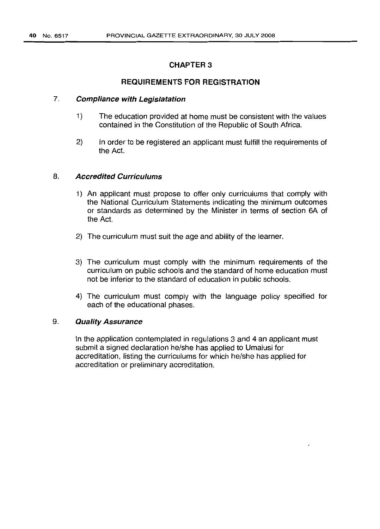## CHAPTER 3

## REQUIREMENTS FOR REGISTRATION

## 7. Compliance with Legislatation

- 1) The education provided at home must be consistent with the values contained in the Constitution of the Republic of South Africa.
- 2) In order to be registered an applicant must fulfill the requirements of the Act.

## 8. Accredited Curriculums

- 1) An applicant must propose to offer only curriculums that comply with the National Curriculum Statements indicating the minimum outcomes or standards as determined by the Minister in terms of section 6A of the Act.
- 2) The curriculum must suit the age and ability of the learner.
- 3) The curriculum must comply with the minimum requirements of the curriculum on public schools and the standard of home education must not be inferior to the standard of education in public schools.
- 4) The curriculum must comply with the language policy specified for each of the educational phases.

## 9. Quality Assurance

In the application contemplated in regulations 3 and 4 an applicant must submit a signed declaration he/she has applied to Umalusi for accreditation, listing the curriculums for which he/she has applied for accreditation or preliminary accreditation.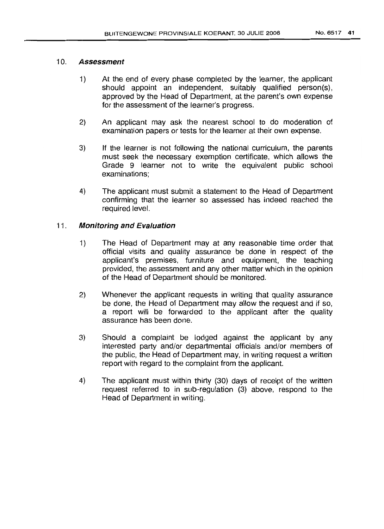## 10. **Assessment**

- 1) At the end of every phase completed by the learner, the applicant should appoint an independent, suitably qualified person(s), approved by the Head of Department, at the parent's own expense for the assessment of the learner's progress.
- 2) An applicant may ask the nearest school to do moderation of examination papers or tests for the learner at their own expense.
- 3) If the learner is not following the national curriculum, the parents must seek the necessary exemption certificate, which allows the Grade 9 learner not to write the equivalent public school examinations;
- 4) The applicant must submit a statement to the Head of Department confirming that the learner so assessed has indeed reached the required level.

## 11 . **Monitoring and Evaluation**

- 1) The Head of Department may at any reasonable time order that official visits and quality assurance be done in respect of the applicant's premises, furniture and equipment, the teaching provided, the assessment and any other matter which in the opinion of the Head of Department should be monitored.
- 2) Whenever the applicant requests in writing that quality assurance be done, the Head of Department may allow the request and if so, a report will be forwarded to the applicant after the quality assurance has been done.
- 3) Should a complaint be lodged against the applicant by any interested party and/or departmental officials and/or members of the public, the Head of Department may, in writing request a written report with regard to the complaint from the applicant.
- 4) The applicant must within thirty (30) days of receipt of the written request referred to in sub-regulation (3) above, respond to the Head of Department in writing.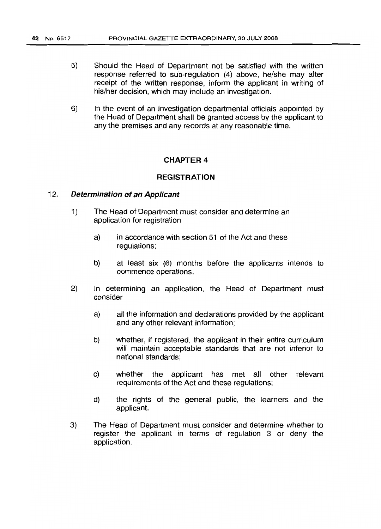- 5) Should the Head of Department not be satisfied with the written response referred to sub-regulation (4) above, he/she may after receipt of the written response, inform the applicant in writing of his/her decision, which may include an investigation.
- 6) In the event of an investigation departmental officials appointed by the Head of Department shall be granted access by the applicant to any the premises and any records at any reasonable time.

#### **CHAPTER 4**

#### **REGISTRATION**

#### 12. **Determination of an Applicant**

- 1) The Head of Department must consider and determine an application for registration
	- a) in accordance with section 51 of the Act and these regulations:
	- b) at least six (6) months before the applicants intends to commence operations.
- 2) In determining an application, the Head of Department must consider
	- a) all the information and declarations provided by the applicant and any other relevant information;
	- b) whether, if registered, the applicant in their entire curriculum will maintain acceptable standards that are not inferior to national standards;
	- c) whether the applicant has met all other relevant requirements of the Act and these regulations;
	- d) the rights of the general public, the learners and the applicant.
- 3) The Head of Department must consider and determine whether to register the applicant in terms of regulation 3 or deny the application.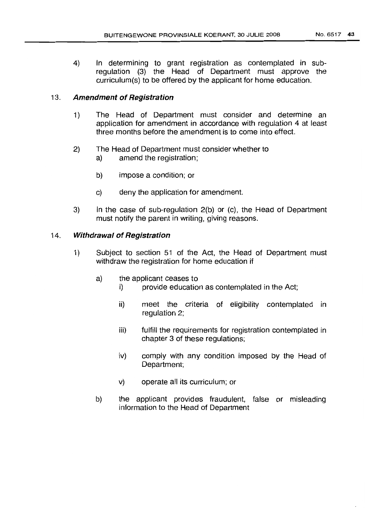4) In determining to grant registration as contemplated in subregulation (3) the Head of Department must approve the curriculum(s) to be offered by the applicant for home education.

## 13. **Amendment of Registration**

- 1) The Head of Department must consider and determine an application for amendment in accordance with regulation 4 at least three months before the amendment is to come into effect.
- 2) The Head of Department must consider whether to
	- a) amend the registration;
	- b) impose a condition; or
	- c) deny the application for amendment.
- 3) In the case of sub-regulation 2(b) or (c), the Head of Department must notify the parent in writing, giving reasons.

## 14. **Withdrawal of Registration**

- 1) Subject to section 51 of the Act, the Head of Department must withdraw the registration for home education if
	- a) the applicant ceases to
		- i) provide education as contemplated in the Act;
		- ii) meet the criteria of eligibility contemplated in regulation 2;
		- iii) fulfill the requirements for registration contemplated in chapter 3 of these regulations;
		- iv) comply with any condition imposed by the Head of Department;
		- v) operate all its curriculum; or
	- b) the applicant provides fraudulent, false or misleading information to the Head of Department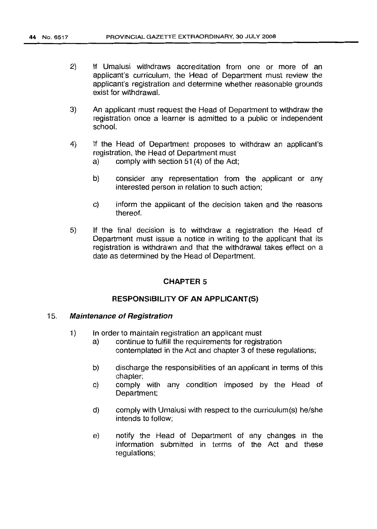- 2) If Umalusi withdraws accreditation from one or more of an applicant's curriculum, the Head of Department must review the applicant's registration and determine whether reasonable grounds exist for withdrawal.
- 3) An applicant must request the Head of Department to withdraw the registration once a learner is admitted to a public or independent school.
- 4) If the Head of Department proposes to withdraw an applicant's registration, the Head of Department must
	- a) comply with section 51(4) of the Act;
	- b) consider any representation from the applicant or any interested person in relation to such action;
	- c) inform the applicant of the decision taken and the reasons thereof.
- 5) If the final decision is to withdraw a registration the Head of Department must issue a notice in writing to the applicant that its registration is withdrawn and that the withdrawal takes effect on a date as determined by the Head of Department.

## CHAPTER 5

#### RESPONSIBILITY OF AN APPLICANT(S)

#### 15. Maintenance of Registration

- 1) In order to maintain registration an applicant must
	- a) continue to fulfill the requirements for registration contemplated in the Act and chapter 3 of these regulations;
	- b) discharge the responsibilities of an applicant in terms of this chapter;
	- c) comply with any condition imposed by the Head of Department;
	- d) comply with Umalusi with respect to the curriculum(s) he/she intends to follow;
	- e) notify the Head of Department of any changes in the information submitted in terms of the Act and these regulations;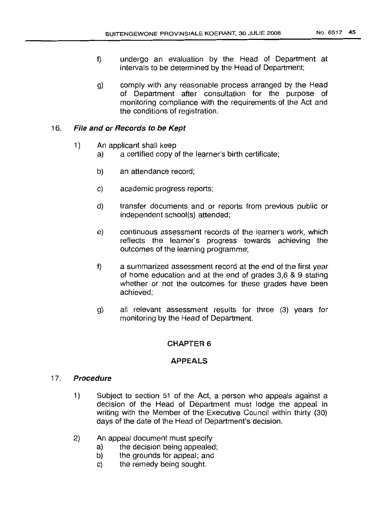- f) undergo an evaluation by the Head of Department at intervals to be determined by the Head of Department;
- g) comply with any reasonable process arranged by the Head of Department after consultation for the purpose of monitoring compliance with the requirements of the Act and the conditions of registration.

## 16. File and or Records to be Kept

- 1) An applicant shall keep
	- a) a certified copy of the learner's birth certificate;
	- b) an attendance record;
	- c) academic progress reports;
	- d) transfer documents and or reports from previous public or independent school(s) attended;
	- e) continuous assessment records of the learner's work, which reflects the learner's progress towards achieving the outcomes of the learning programme;
	- f) a summarized assessment record at the end of the first year of home education and at the end of grades 3,6 & 9 stating whether or not the outcomes for these grades have been achieved;
	- g) all relevant assessment results for three (3) years for monitoring by the Head of Department.

# CHAPTER 6

# APPEALS

## 17. Procedure

- 1) Subject to section 51 of the Act, a person who appeals against a decision of the Head of Department must lodge the appeal in writing with the Member of the Executive Council within thirty (30) days of the date of the Head of Department's decision.
- 2) An appeal document must specify
	- a) the decision being appealed;
	- b) the grounds for appeal; and
	- c) the remedy being sought.